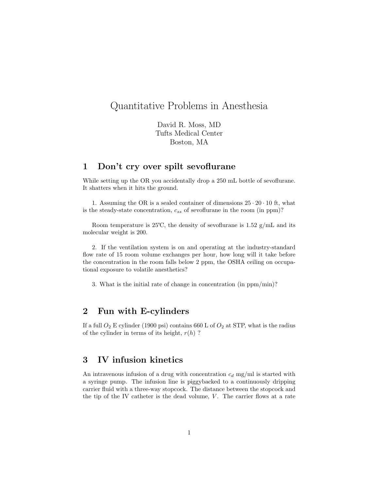# Quantitative Problems in Anesthesia

David R. Moss, MD Tufts Medical Center Boston, MA

## 1 Don't cry over spilt sevoflurane

While setting up the OR you accidentally drop a 250 mL bottle of sevoflurane. It shatters when it hits the ground.

1. Assuming the OR is a sealed container of dimensions  $25 \cdot 20 \cdot 10$  ft, what is the steady-state concentration,  $c_{ss}$  of sevoflurane in the room (in ppm)?

Room temperature is 25°C, the density of sevoflurane is  $1.52 \text{ g/mL}$  and its molecular weight is 200.

2. If the ventilation system is on and operating at the industry-standard flow rate of 15 room volume exchanges per hour, how long will it take before the concentration in the room falls below 2 ppm, the OSHA ceiling on occupational exposure to volatile anesthetics?

3. What is the initial rate of change in concentration (in ppm/min)?

#### 2 Fun with E-cylinders

If a full  $O_2$  E cylinder (1900 psi) contains 660 L of  $O_2$  at STP, what is the radius of the cylinder in terms of its height,  $r(h)$ ?

#### 3 IV infusion kinetics

An intravenous infusion of a drug with concentration  $c_d$  mg/ml is started with a syringe pump. The infusion line is piggybacked to a continuously dripping carrier fluid with a three-way stopcock. The distance between the stopcock and the tip of the IV catheter is the dead volume,  $V$ . The carrier flows at a rate